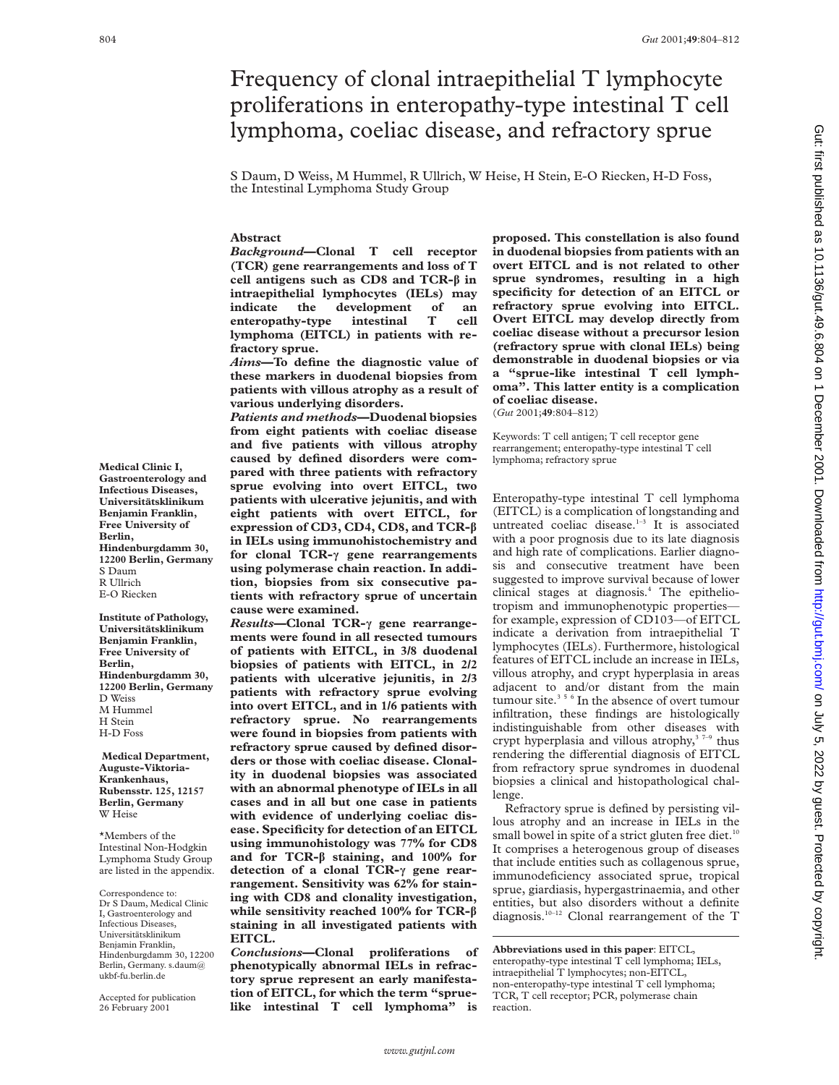# Frequency of clonal intraepithelial T lymphocyte proliferations in enteropathy-type intestinal T cell lymphoma, coeliac disease, and refractory sprue

S Daum, D Weiss, M Hummel, R Ullrich, W Heise, H Stein, E-O Riecken, H-D Foss, the Intestinal Lymphoma Study Group

# **Abstract**

*Background***—Clonal T cell receptor (TCR) gene rearrangements and loss of T cell antigens such as CD8 and TCR-â in intraepithelial lymphocytes (IELs) may indicate the development of an enteropathy-type intestinal T cell lymphoma (EITCL) in patients with refractory sprue.**

*Aims***—To define the diagnostic value of these markers in duodenal biopsies from patients with villous atrophy as a result of various underlying disorders.**

*Patients and methods***—Duodenal biopsies from eight patients with coeliac disease and five patients with villous atrophy caused by defined disorders were compared with three patients with refractory sprue evolving into overt EITCL, two patients with ulcerative jejunitis, and with eight patients with overt EITCL, for expression of CD3, CD4, CD8, and TCR-â in IELs using immunohistochemistry and for clonal TCR-ã gene rearrangements using polymerase chain reaction. In addition, biopsies from six consecutive patients with refractory sprue of uncertain cause were examined.**

*Results***—Clonal TCR-ã gene rearrangements were found in all resected tumours of patients with EITCL, in 3/8 duodenal biopsies of patients with EITCL, in 2/2 patients with ulcerative jejunitis, in 2/3 patients with refractory sprue evolving into overt EITCL, and in 1/6 patients with refractory sprue. No rearrangements were found in biopsies from patients with refractory sprue caused by defined disorders or those with coeliac disease. Clonality in duodenal biopsies was associated with an abnormal phenotype of IELs in all cases and in all but one case in patients with evidence of underlying coeliac disease. Specificity for detection of an EITCL using immunohistology was 77% for CD8 and for TCR-â staining, and 100% for detection of a clonal TCR-ã gene rearrangement. Sensitivity was 62% for staining with CD8 and clonality investigation, while sensitivity reached 100% for TCR-â staining in all investigated patients with EITCL.**

*Conclusions***—Clonal proliferations of phenotypically abnormal IELs in refractory sprue represent an early manifestation of EITCL, for which the term "spruelike intestinal T cell lymphoma" is**

**proposed. This constellation is also found in duodenal biopsies from patients with an overt EITCL and is not related to other sprue syndromes, resulting in a high specificity for detection of an EITCL or refractory sprue evolving into EITCL. Overt EITCL may develop directly from coeliac disease without a precursor lesion (refractory sprue with clonal IELs) being demonstrable in duodenal biopsies or via a "sprue-like intestinal T cell lymphoma". This latter entity is a complication of coeliac disease.**

(*Gut* 2001;**49**:804–812)

Keywords: T cell antigen; T cell receptor gene rearrangement; enteropathy-type intestinal T cell lymphoma; refractory sprue

Enteropathy-type intestinal T cell lymphoma (EITCL) is a complication of longstanding and untreated coeliac disease.<sup>1-3</sup> It is associated with a poor prognosis due to its late diagnosis and high rate of complications. Earlier diagnosis and consecutive treatment have been suggested to improve survival because of lower clinical stages at diagnosis.<sup>4</sup> The epitheliotropism and immunophenotypic properties for example, expression of CD103—of EITCL indicate a derivation from intraepithelial T lymphocytes (IELs). Furthermore, histological features of EITCL include an increase in IELs, villous atrophy, and crypt hyperplasia in areas adjacent to and/or distant from the main tumour site.<sup>356</sup> In the absence of overt tumour infiltration, these findings are histologically indistinguishable from other diseases with crypt hyperplasia and villous atrophy,<sup>37-9</sup> thus rendering the differential diagnosis of EITCL from refractory sprue syndromes in duodenal biopsies a clinical and histopathological challenge.

Refractory sprue is defined by persisting villous atrophy and an increase in IELs in the small bowel in spite of a strict gluten free diet.<sup>10</sup> It comprises a heterogenous group of diseases that include entities such as collagenous sprue, immunodeficiency associated sprue, tropical sprue, giardiasis, hypergastrinaemia, and other entities, but also disorders without a definite diagnosis.<sup>10-12</sup> Clonal rearrangement of the T

**Abbreviations used in this paper**: EITCL, enteropathy-type intestinal T cell lymphoma; IELs, intraepithelial T lymphocytes; non-EITCL, non-enteropathy-type intestinal T cell lymphoma; TCR, T cell receptor; PCR, polymerase chain reaction.

**Medical Clinic I, Gastroenterology and Infectious Diseases, Universitätsklinikum Benjamin Franklin, Free University of Berlin, Hindenburgdamm 30, 12200 Berlin, Germany** S Daum R Ullrich E-O Riecken **Institute of Pathology,**

**Universitätsklinikum Benjamin Franklin, Free University of Berlin, Hindenburgdamm 30, 12200 Berlin, Germany** D Weiss M Hummel H Stein H-D Foss

**Medical Department, Auguste-Viktoria-Krankenhaus, Rubensstr. 125, 12157 Berlin, Germany** W Heise

\*Members of the Intestinal Non-Hodgkin Lymphoma Study Group are listed in the appendix.

Correspondence to: Dr S Daum, Medical Clinic I, Gastroenterology and Infectious Diseases, Universitätsklinikum Benjamin Franklin, Hindenburgdamm 30, 12200 Berlin, Germany. s.daum@ ukbf-fu.berlin.de

Accepted for publication 26 February 2001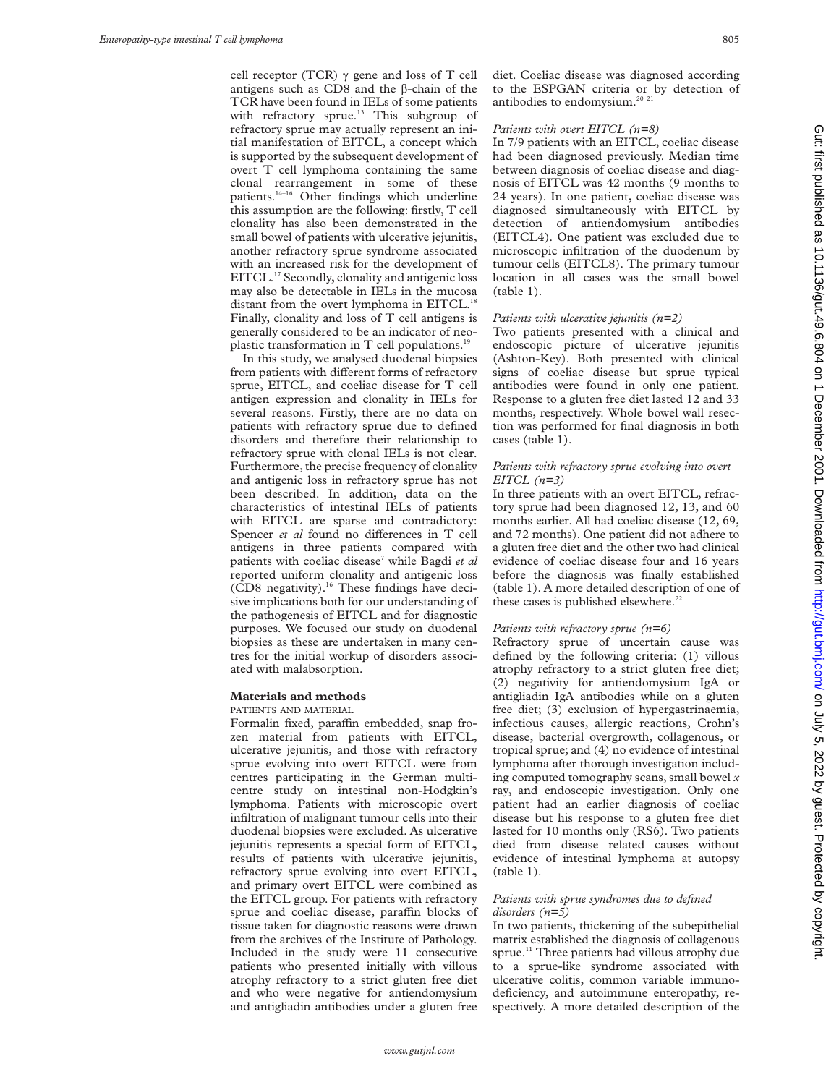cell receptor (TCR)  $\gamma$  gene and loss of T cell antigens such as  $CD8$  and the  $\beta$ -chain of the TCR have been found in IELs of some patients with refractory sprue.<sup>13</sup> This subgroup of refractory sprue may actually represent an initial manifestation of EITCL, a concept which is supported by the subsequent development of overt T cell lymphoma containing the same clonal rearrangement in some of these patients.14–16 Other findings which underline this assumption are the following: firstly, T cell clonality has also been demonstrated in the small bowel of patients with ulcerative jejunitis, another refractory sprue syndrome associated with an increased risk for the development of EITCL.<sup>17</sup> Secondly, clonality and antigenic loss may also be detectable in IELs in the mucosa distant from the overt lymphoma in EITCL.<sup>18</sup> Finally, clonality and loss of T cell antigens is generally considered to be an indicator of neoplastic transformation in T cell populations.19

In this study, we analysed duodenal biopsies from patients with different forms of refractory sprue, EITCL, and coeliac disease for T cell antigen expression and clonality in IELs for several reasons. Firstly, there are no data on patients with refractory sprue due to defined disorders and therefore their relationship to refractory sprue with clonal IELs is not clear. Furthermore, the precise frequency of clonality and antigenic loss in refractory sprue has not been described. In addition, data on the characteristics of intestinal IELs of patients with EITCL are sparse and contradictory: Spencer et al found no differences in T cell antigens in three patients compared with patients with coeliac disease<sup>7</sup> while Bagdi et al reported uniform clonality and antigenic loss (CD8 negativity).<sup>16</sup> These findings have decisive implications both for our understanding of the pathogenesis of EITCL and for diagnostic purposes. We focused our study on duodenal biopsies as these are undertaken in many centres for the initial workup of disorders associated with malabsorption.

# **Materials and methods**

PATIENTS AND MATERIAL

Formalin fixed, paraffin embedded, snap frozen material from patients with EITCL, ulcerative jejunitis, and those with refractory sprue evolving into overt EITCL were from centres participating in the German multicentre study on intestinal non-Hodgkin's lymphoma. Patients with microscopic overt infiltration of malignant tumour cells into their duodenal biopsies were excluded. As ulcerative jejunitis represents a special form of EITCL, results of patients with ulcerative jejunitis, refractory sprue evolving into overt EITCL, and primary overt EITCL were combined as the EITCL group. For patients with refractory sprue and coeliac disease, paraffin blocks of tissue taken for diagnostic reasons were drawn from the archives of the Institute of Pathology. Included in the study were 11 consecutive patients who presented initially with villous atrophy refractory to a strict gluten free diet and who were negative for antiendomysium and antigliadin antibodies under a gluten free

diet. Coeliac disease was diagnosed according to the ESPGAN criteria or by detection of antibodies to endomysium.<sup>20</sup><sup>21</sup>

# *Patients with overt EITCL (n=8)*

In 7/9 patients with an EITCL, coeliac disease had been diagnosed previously. Median time between diagnosis of coeliac disease and diagnosis of EITCL was 42 months (9 months to 24 years). In one patient, coeliac disease was diagnosed simultaneously with EITCL by detection of antiendomysium antibodies (EITCL4). One patient was excluded due to microscopic infiltration of the duodenum by tumour cells (EITCL8). The primary tumour location in all cases was the small bowel (table 1).

# *Patients with ulcerative jejunitis (n=2)*

Two patients presented with a clinical and endoscopic picture of ulcerative jejunitis (Ashton-Key). Both presented with clinical signs of coeliac disease but sprue typical antibodies were found in only one patient. Response to a gluten free diet lasted 12 and 33 months, respectively. Whole bowel wall resection was performed for final diagnosis in both cases (table 1).

# *Patients with refractory sprue evolving into overt EITCL (n=3)*

In three patients with an overt EITCL, refractory sprue had been diagnosed 12, 13, and 60 months earlier. All had coeliac disease (12, 69, and 72 months). One patient did not adhere to a gluten free diet and the other two had clinical evidence of coeliac disease four and 16 years before the diagnosis was finally established (table 1). A more detailed description of one of these cases is published elsewhere.<sup>22</sup>

# *Patients with refractory sprue (n=6)*

Refractory sprue of uncertain cause was defined by the following criteria: (1) villous atrophy refractory to a strict gluten free diet; (2) negativity for antiendomysium IgA or antigliadin IgA antibodies while on a gluten free diet; (3) exclusion of hypergastrinaemia, infectious causes, allergic reactions, Crohn's disease, bacterial overgrowth, collagenous, or tropical sprue; and (4) no evidence of intestinal lymphoma after thorough investigation including computed tomography scans, small bowel *x* ray, and endoscopic investigation. Only one patient had an earlier diagnosis of coeliac disease but his response to a gluten free diet lasted for 10 months only (RS6). Two patients died from disease related causes without evidence of intestinal lymphoma at autopsy (table 1).

#### *Patients with sprue syndromes due to defined disorders (n=5)*

In two patients, thickening of the subepithelial matrix established the diagnosis of collagenous sprue.<sup>11</sup> Three patients had villous atrophy due to a sprue-like syndrome associated with ulcerative colitis, common variable immunodeficiency, and autoimmune enteropathy, respectively. A more detailed description of the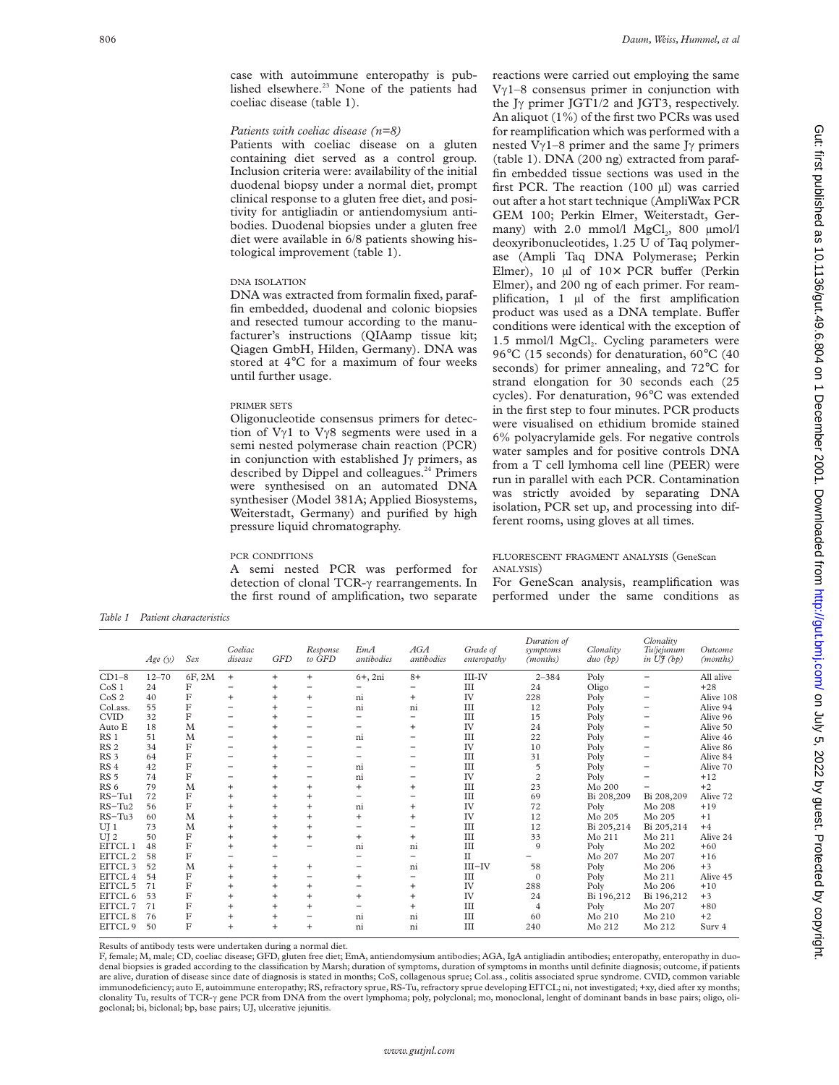case with autoimmune enteropathy is published elsewhere.<sup>23</sup> None of the patients had coeliac disease (table 1).

# *Patients with coeliac disease (n=8)*

Patients with coeliac disease on a gluten containing diet served as a control group. Inclusion criteria were: availability of the initial duodenal biopsy under a normal diet, prompt clinical response to a gluten free diet, and positivity for antigliadin or antiendomysium antibodies. Duodenal biopsies under a gluten free diet were available in 6/8 patients showing histological improvement (table 1).

#### DNA ISOLATION

DNA was extracted from formalin fixed, paraffin embedded, duodenal and colonic biopsies and resected tumour according to the manufacturer's instructions (QIAamp tissue kit; Qiagen GmbH, Hilden, Germany). DNA was stored at 4°C for a maximum of four weeks until further usage.

## PRIMER SETS

Oligonucleotide consensus primers for detection of  $V\gamma1$  to  $V\gamma8$  segments were used in a semi nested polymerase chain reaction (PCR) in conjunction with established J $\gamma$  primers, as described by Dippel and colleagues.<sup>24</sup> Primers were synthesised on an automated DNA synthesiser (Model 381A; Applied Biosystems, Weiterstadt, Germany) and purified by high pressure liquid chromatography.

#### PCR CONDITIONS

A semi nested PCR was performed for detection of clonal TCR- $\gamma$  rearrangements. In the first round of amplification, two separate reactions were carried out employing the same  $V\gamma$ 1–8 consensus primer in conjunction with the J $\gamma$  primer JGT1/2 and JGT3, respectively. An aliquot (1%) of the first two PCRs was used for reamplification which was performed with a nested V $\gamma$ 1–8 primer and the same J $\gamma$  primers (table 1). DNA (200 ng) extracted from paraffin embedded tissue sections was used in the first PCR. The reaction (100 µl) was carried out after a hot start technique (AmpliWax PCR GEM 100; Perkin Elmer, Weiterstadt, Germany) with  $2.0 \text{ mmol/l}$  MgCl<sub>2</sub>,  $800 \text{ mmol/l}$ deoxyribonucleotides, 1.25 U of Taq polymerase (Ampli Taq DNA Polymerase; Perkin Elmer), 10  $\mu$ l of 10× PCR buffer (Perkin Elmer), and 200 ng of each primer. For reamplification, 1 µl of the first amplification product was used as a DNA template. Buffer conditions were identical with the exception of 1.5 mmol/l  $MgCl<sub>2</sub>$ . Cycling parameters were 96°C (15 seconds) for denaturation, 60°C (40 seconds) for primer annealing, and 72°C for strand elongation for 30 seconds each (25 cycles). For denaturation, 96°C was extended in the first step to four minutes. PCR products were visualised on ethidium bromide stained 6% polyacrylamide gels. For negative controls water samples and for positive controls DNA from a T cell lymhoma cell line (PEER) were run in parallel with each PCR. Contamination was strictly avoided by separating DNA isolation, PCR set up, and processing into different rooms, using gloves at all times.

## FLUORESCENT FRAGMENT ANALYSIS (GeneScan ANALYSIS)

For GeneScan analysis, reamplification was performed under the same conditions as

*Table 1 Patient characteristics*

|                    | Age(y)    | Sex    | Coeliac<br>disease | <b>GFD</b>     | Response<br>to GFD | EmA<br>antibodies | AGA<br>antibodies | Grade of<br>enteropathy | Duration of<br>symptoms<br>(months) | Clonality<br>$duo$ (bp) | Clonality<br>Tuljejunum<br>in $U_f^*(b_p)$ | Outcome<br>(months) |
|--------------------|-----------|--------|--------------------|----------------|--------------------|-------------------|-------------------|-------------------------|-------------------------------------|-------------------------|--------------------------------------------|---------------------|
| $CD1-8$            | $12 - 70$ | 6F, 2M | $+$                | $^{+}$         | $+$                | $6+, 2ni$         | $8+$              | III-IV                  | $2 - 384$                           | Poly                    |                                            | All alive           |
| CoS <sub>1</sub>   | 24        | F      |                    | $\ddot{}$      |                    |                   |                   | Ш                       | 24                                  | Oligo                   |                                            | $+28$               |
| CoS <sub>2</sub>   | 40        | F      | $\ddot{}$          | $\ddot{}$      | $+$                | ni                | $\ddot{}$         | IV                      | 228                                 | Poly                    |                                            | Alive 108           |
| Col.ass.           | 55        | F      |                    |                |                    | n <sub>1</sub>    | ni                | Ш                       | 12                                  | Poly                    |                                            | Alive 94            |
| <b>CVID</b>        | 32        | F      |                    |                |                    |                   |                   | III                     | 15                                  | Poly                    |                                            | Alive 96            |
| Auto E             | 18        | M      |                    | $\pm$          |                    |                   | $\ddot{}$         | IV                      | 24                                  | Poly                    |                                            | Alive 50            |
| RS <sub>1</sub>    | 51        | M      |                    |                |                    | ni                |                   | III                     | 22                                  | Poly                    |                                            | Alive 46            |
| RS <sub>2</sub>    | 34        | F      |                    |                |                    |                   |                   | IV                      | 10                                  | Poly                    |                                            | Alive 86            |
| RS <sub>3</sub>    | 64        | F      |                    |                |                    |                   |                   | Ш                       | 31                                  | Poly                    |                                            | Alive 84            |
| RS <sub>4</sub>    | 42        | F      |                    | $\pm$          |                    | ni                |                   | III                     | 5                                   | Poly                    |                                            | Alive 70            |
| RS <sub>5</sub>    | 74        | F      |                    |                |                    | ni                |                   | IV                      | $\overline{c}$                      | Poly                    |                                            | $+12$               |
| RS <sub>6</sub>    | 79        | M      | $\ddot{}$          | $\pm$          | $+$                | $\ddot{}$         | $\ddot{}$         | Ш                       | 23                                  | Mo 200                  |                                            | $+2$                |
| $RS-Tu1$           | 72        | F      | $\ddot{}$          | $\overline{+}$ | $\ddot{}$          |                   |                   | III                     | 69                                  | Bi 208,209              | Bi 208,209                                 | Alive 72            |
| $RS-Tu2$           | 56        | F      | $+$                | $\ddot{}$      | $+$                | ni                | $\ddot{}$         | IV                      | 72                                  | Poly                    | Mo 208                                     | $+19$               |
| $RS-Tu3$           | 60        | M      | $\ddot{}$          | $\overline{+}$ | $\ddot{}$          | $^{+}$            | $\overline{+}$    | IV                      | 12                                  | Mo 205                  | Mo 205                                     | $+1$                |
| $UJ_1$             | 73        | M      | $+$                | $\ddot{}$      | $+$                |                   |                   | Ш                       | 12                                  | Bi 205,214              | Bi 205,214                                 | $+4$                |
| UJ <sub>2</sub>    | 50        | F      | $\ddot{}$          | $\overline{+}$ | $\ddot{}$          | $+$               | $\ddot{}$         | III                     | 33                                  | Mo 211                  | $Mo$ 211                                   | Alive 24            |
| EITCL 1            | 48        | F      | $+$                | $\ddot{}$      |                    | ni                | ni                | III                     | $\mathbf Q$                         | Poly                    | Mo 202                                     | $+60$               |
| EITCL 2            | 58        | F      |                    |                |                    |                   |                   | П                       |                                     | Mo 207                  | Mo 207                                     | $+16$               |
| EITCL 3            | 52        | M      | $\ddot{}$          | $^{+}$         | $+$                |                   | ni                | $III$ -IV               | 58                                  | Poly                    | Mo 206                                     | $+3$                |
| EITCL 4            | 54        | F      | $\ddot{}$          |                |                    | $^{+}$            |                   | Ш                       | $\Omega$                            | Poly                    | Mo 211                                     | Alive 45            |
| EITCL 5            | 71        | F      | $+$                | $\ddot{}$      | $+$                |                   | $\ddot{}$         | IV                      | 288                                 | Poly                    | Mo 206                                     | $+10$               |
| EITCL 6            | 53        | F      | $\ddot{}$          | $\ddot{}$      | $\ddot{}$          | $^{+}$            | $\ddot{}$         | IV                      | 24                                  | Bi 196,212              | Bi 196,212                                 | $+3$                |
| EITCL 7            | 71        | F      | $\ddot{}$          | $\ddot{}$      | $^{+}$             |                   | $\ddot{}$         | Ш                       | $\overline{4}$                      | Poly                    | Mo 207                                     | $+80$               |
| EITCL <sub>8</sub> | 76        | F      | $\ddot{}$          | $\ddot{}$      |                    | ni                | ni                | Ш                       | 60                                  | Mo 210                  | Mo 210                                     | $+2$                |
| EITCL 9            | 50        | F      | $\ddot{}$          | $\overline{+}$ | $+$                | ni                | ni                | Ш                       | 240                                 | Mo 212                  | Mo 212                                     | Surv 4              |

Results of antibody tests were undertaken during a normal diet.

F, female; M, male; CD, coeliac disease; GFD, gluten free diet; EmA, antiendomysium antibodies; AGA, IgA antigliadin antibodies; enteropathy, enteropathy in duodenal biopsies is graded according to the classification by Marsh; duration of symptoms, duration of symptoms in months until definite diagnosis; outcome, if patients are alive, duration of disease since date of diagnosis is stated in months; CoS, collagenous sprue; Col.ass., colitis associated sprue syndrome. CVID, common variable immunodeficiency; auto E, autoimmune enteropathy; RS, refractory sprue, RS-Tu, refractory sprue developing EITCL; ni, not investigated; +xy, died after xy months; clonality Tu, results of TCR- $\gamma$  gene PCR from DNA from the overt lymphoma; poly, polyclonal; mo, monoclonal, lenght of dominant bands in base pairs; oligo, oligoclonal; bi, biclonal; bp, base pairs; UJ, ulcerative jejunitis.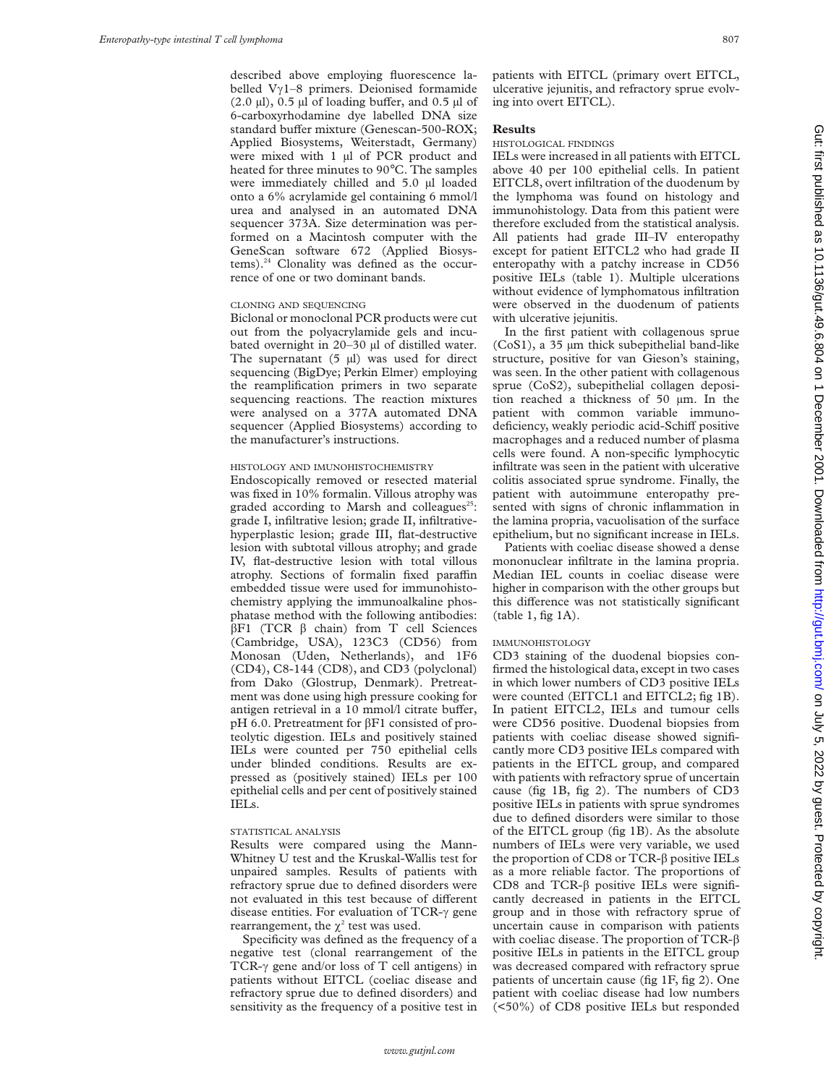described above employing fluorescence labelled V $\gamma$ 1–8 primers. Deionised formamide  $(2.0 \mu l)$ , 0.5  $\mu l$  of loading buffer, and 0.5  $\mu l$  of 6-carboxyrhodamine dye labelled DNA size standard buffer mixture (Genescan-500-ROX; Applied Biosystems, Weiterstadt, Germany) were mixed with 1 µl of PCR product and heated for three minutes to 90°C. The samples were immediately chilled and 5.0 µl loaded onto a 6% acrylamide gel containing 6 mmol/l urea and analysed in an automated DNA sequencer 373A. Size determination was performed on a Macintosh computer with the GeneScan software 672 (Applied Biosystems).24 Clonality was defined as the occurrence of one or two dominant bands.

#### CLONING AND SEQUENCING

Biclonal or monoclonal PCR products were cut out from the polyacrylamide gels and incubated overnight in 20–30 µl of distilled water. The supernatant  $(5 \text{ µ})$  was used for direct sequencing (BigDye; Perkin Elmer) employing the reamplification primers in two separate sequencing reactions. The reaction mixtures were analysed on a 377A automated DNA sequencer (Applied Biosystems) according to the manufacturer's instructions.

# HISTOLOGY AND IMUNOHISTOCHEMISTRY

Endoscopically removed or resected material was fixed in 10% formalin. Villous atrophy was graded according to Marsh and colleagues<sup>25</sup>: grade I, infiltrative lesion; grade II, infiltrativehyperplastic lesion; grade III, flat-destructive lesion with subtotal villous atrophy; and grade IV, flat-destructive lesion with total villous atrophy. Sections of formalin fixed paraffin embedded tissue were used for immunohistochemistry applying the immunoalkaline phosphatase method with the following antibodies:  $\beta$ F1 (TCR  $\beta$  chain) from T cell Sciences (Cambridge, USA), 123C3 (CD56) from Monosan (Uden, Netherlands), and 1F6 (CD4), C8-144 (CD8), and CD3 (polyclonal) from Dako (Glostrup, Denmark). Pretreatment was done using high pressure cooking for antigen retrieval in a 10 mmol/l citrate buffer, pH 6.0. Pretreatment for  $\beta$ F1 consisted of proteolytic digestion. IELs and positively stained IELs were counted per 750 epithelial cells under blinded conditions. Results are expressed as (positively stained) IELs per 100 epithelial cells and per cent of positively stained IELs.

## STATISTICAL ANALYSIS

Results were compared using the Mann-Whitney U test and the Kruskal-Wallis test for unpaired samples. Results of patients with refractory sprue due to defined disorders were not evaluated in this test because of different disease entities. For evaluation of TCR- $\gamma$  gene rearrangement, the  $\chi^2$  test was used.

Specificity was defined as the frequency of a negative test (clonal rearrangement of the TCR- $\gamma$  gene and/or loss of T cell antigens) in patients without EITCL (coeliac disease and refractory sprue due to defined disorders) and sensitivity as the frequency of a positive test in patients with EITCL (primary overt EITCL, ulcerative jejunitis, and refractory sprue evolving into overt EITCL).

# **Results**

#### HISTOLOGICAL FINDINGS

IELs were increased in all patients with EITCL above 40 per 100 epithelial cells. In patient EITCL8, overt infiltration of the duodenum by the lymphoma was found on histology and immunohistology. Data from this patient were therefore excluded from the statistical analysis. All patients had grade III–IV enteropathy except for patient EITCL2 who had grade II enteropathy with a patchy increase in CD56 positive IELs (table 1). Multiple ulcerations without evidence of lymphomatous infiltration were observed in the duodenum of patients with ulcerative jejunitis.

In the first patient with collagenous sprue (CoS1), a 35 µm thick subepithelial band-like structure, positive for van Gieson's staining, was seen. In the other patient with collagenous sprue (CoS2), subepithelial collagen deposition reached a thickness of 50 µm. In the patient with common variable immunodeficiency, weakly periodic acid-Schiff positive macrophages and a reduced number of plasma cells were found. A non-specific lymphocytic infiltrate was seen in the patient with ulcerative colitis associated sprue syndrome. Finally, the patient with autoimmune enteropathy presented with signs of chronic inflammation in the lamina propria, vacuolisation of the surface epithelium, but no significant increase in IELs.

Patients with coeliac disease showed a dense mononuclear infiltrate in the lamina propria. Median IEL counts in coeliac disease were higher in comparison with the other groups but this difference was not statistically significant (table 1, fig 1A).

# IMMUNOHISTOLOGY

CD3 staining of the duodenal biopsies confirmed the histological data, except in two cases in which lower numbers of CD3 positive IELs were counted (EITCL1 and EITCL2; fig 1B). In patient EITCL2, IELs and tumour cells were CD56 positive. Duodenal biopsies from patients with coeliac disease showed significantly more CD3 positive IELs compared with patients in the EITCL group, and compared with patients with refractory sprue of uncertain cause (fig 1B, fig 2). The numbers of CD3 positive IELs in patients with sprue syndromes due to defined disorders were similar to those of the EITCL group (fig 1B). As the absolute numbers of IELs were very variable, we used the proportion of CD8 or TCR-â positive IELs as a more reliable factor. The proportions of CD8 and TCR- $\beta$  positive IELs were significantly decreased in patients in the EITCL group and in those with refractory sprue of uncertain cause in comparison with patients with coeliac disease. The proportion of TCR- $\beta$ positive IELs in patients in the EITCL group was decreased compared with refractory sprue patients of uncertain cause (fig 1F, fig 2). One patient with coeliac disease had low numbers (<50%) of CD8 positive IELs but responded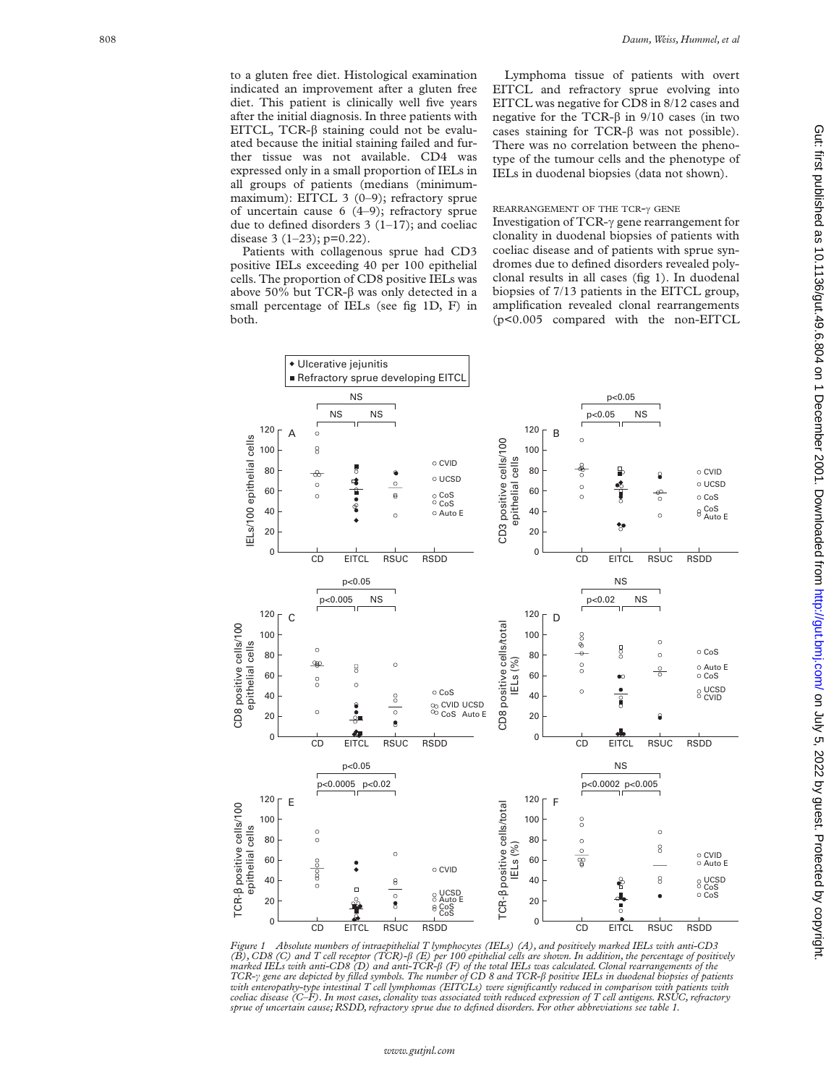to a gluten free diet. Histological examination indicated an improvement after a gluten free diet. This patient is clinically well five years after the initial diagnosis. In three patients with EITCL, TCR- $\beta$  staining could not be evaluated because the initial staining failed and further tissue was not available. CD4 was expressed only in a small proportion of IELs in all groups of patients (medians (minimummaximum): EITCL 3 (0-9); refractory sprue of uncertain cause 6 (4–9); refractory sprue due to defined disorders 3 (1–17); and coeliac disease  $3(1-23)$ ; p=0.22).

Patients with collagenous sprue had CD3 positive IELs exceeding 40 per 100 epithelial cells. The proportion of CD8 positive IELs was above 50% but TCR- $\beta$  was only detected in a small percentage of IELs (see fig 1D, F) in both.

Lymphoma tissue of patients with overt EITCL and refractory sprue evolving into EITCL was negative for CD8 in 8/12 cases and negative for the TCR- $\beta$  in 9/10 cases (in two cases staining for  $TCR-\beta$  was not possible). There was no correlation between the phenotype of the tumour cells and the phenotype of IELs in duodenal biopsies (data not shown).

# REARRANGEMENT OF THE TCR- $\gamma$  GENE

Investigation of TCR-γ gene rearrangement for clonality in duodenal biopsies of patients with coeliac disease and of patients with sprue syndromes due to defined disorders revealed polyclonal results in all cases (fig 1). In duodenal biopsies of 7/13 patients in the EITCL group, amplification revealed clonal rearrangements (p<0.005 compared with the non-EITCL



Figure 1 Absolute numbers of intraepithelial T lymphocytes (IELs) (A), and positively marked IELs with anti-CD3<br>(B), CD8 (C) and T cell receptor (TCR-H) (E) per 100 epithelial cells are shown. In addition, the percentage o *with enteropathy-type intestinal T cell lymphomas (EITCLs) were significantly reduced in comparison with patients with coeliac disease (C–F). In most cases, clonality was associated with reduced expression of T cell antigens. RSUC, refractory sprue of uncertain cause; RSDD, refractory sprue due to defined disorders. For other abbreviations see table 1.*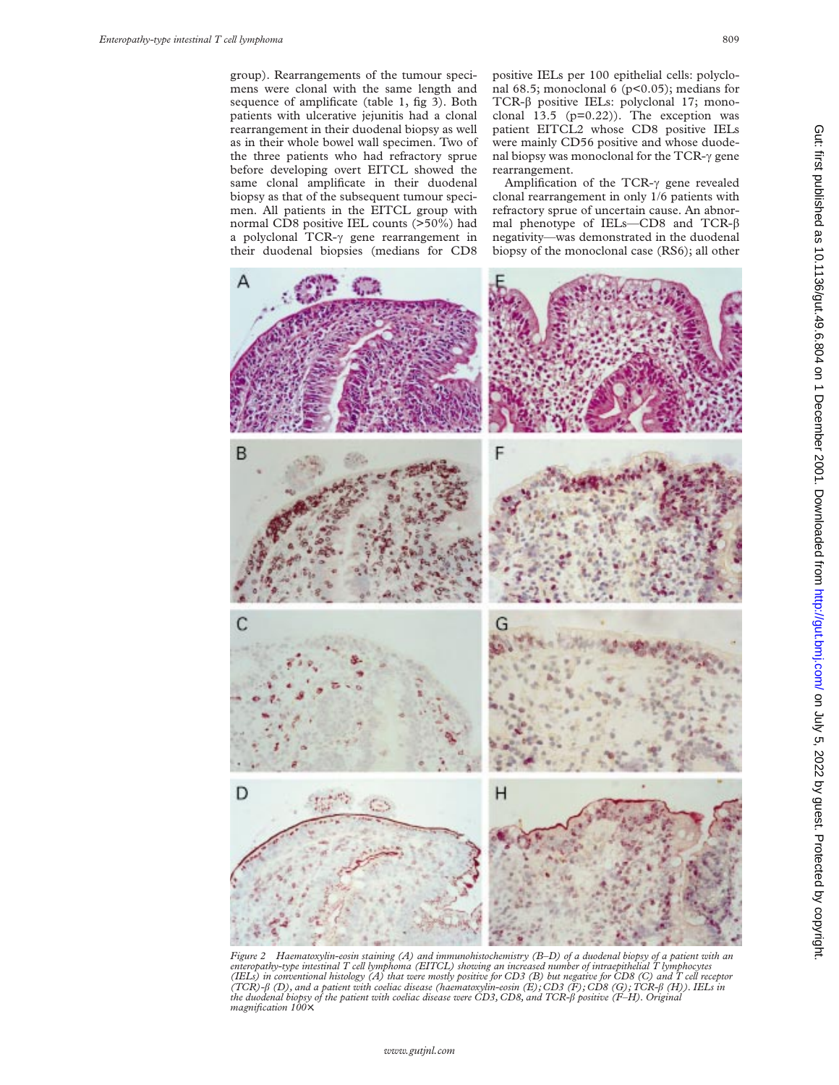group). Rearrangements of the tumour specimens were clonal with the same length and sequence of amplificate (table 1, fig 3). Both patients with ulcerative jejunitis had a clonal rearrangement in their duodenal biopsy as well as in their whole bowel wall specimen. Two of the three patients who had refractory sprue before developing overt EITCL showed the same clonal amplificate in their duodenal biopsy as that of the subsequent tumour specimen. All patients in the EITCL group with normal CD8 positive IEL counts (>50%) had a polyclonal TCR- $\gamma$  gene rearrangement in their duodenal biopsies (medians for CD8

positive IELs per 100 epithelial cells: polyclonal 68.5; monoclonal 6 (p<0.05); medians for TCR-â positive IELs: polyclonal 17; monoclonal 13.5 (p=0.22)). The exception was patient EITCL2 whose CD8 positive IELs were mainly CD56 positive and whose duodenal biopsy was monoclonal for the TCR- $\gamma$  gene rearrangement.

Amplification of the TCR- $\gamma$  gene revealed clonal rearrangement in only 1/6 patients with refractory sprue of uncertain cause. An abnormal phenotype of IELs—CD8 and TCR-â negativity—was demonstrated in the duodenal biopsy of the monoclonal case (RS6); all other



Figure 2 Haematoxylin-eosin staining (A) and immunohistochemistry (B–D) of a duodenal biopsy of a patient with an<br>enteropathy-type intestinal T cell lymphoma (EITCL) showing an increased number of intraepithelial T lymphoc *(IELs) in conventional histology (A) that were mostly positive for CD3 (B) but negative for CD8 (C) and T cell receptor (TCR)-*â *(D), and a patient with coeliac disease (haematoxylin-eosin (E); CD3 (F); CD8 (G); TCR-*â *(H)). IELs in the duodenal biopsy of the patient with coeliac disease were CD3, CD8, and TCR-*â *positive (F–H). Original magnification 100*×*.*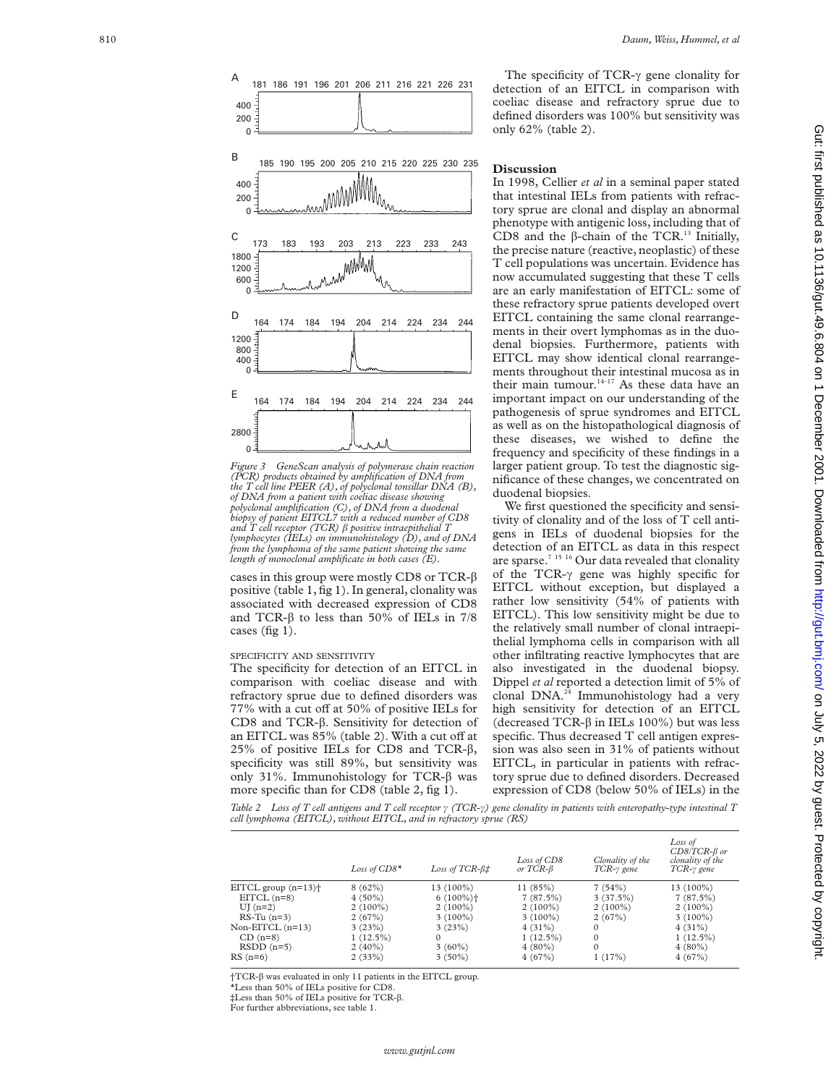



cases in this group were mostly CD8 or TCR- $\beta$ positive (table 1, fig 1). In general, clonality was associated with decreased expression of CD8 and TCR- $\beta$  to less than 50% of IELs in 7/8 cases (fig 1).

# SPECIFICITY AND SENSITIVITY

The specificity for detection of an EITCL in comparison with coeliac disease and with refractory sprue due to defined disorders was 77% with a cut off at 50% of positive IELs for CD8 and TCR-â. Sensitivity for detection of an EITCL was 85% (table 2). With a cut off at 25% of positive IELs for CD8 and TCR- $\beta$ , specificity was still 89%, but sensitivity was only 31%. Immunohistology for TCR-â was more specific than for CD8 (table 2, fig 1).

The specificity of TCR- $\gamma$  gene clonality for detection of an EITCL in comparison with coeliac disease and refractory sprue due to defined disorders was 100% but sensitivity was only 62% (table 2).

# **Discussion**

In 1998, Cellier *et al* in a seminal paper stated that intestinal IELs from patients with refractory sprue are clonal and display an abnormal phenotype with antigenic loss, including that of CD8 and the  $\beta$ -chain of the TCR.<sup>13</sup> Initially, the precise nature (reactive, neoplastic) of these T cell populations was uncertain. Evidence has now accumulated suggesting that these T cells are an early manifestation of EITCL: some of these refractory sprue patients developed overt EITCL containing the same clonal rearrangements in their overt lymphomas as in the duodenal biopsies. Furthermore, patients with EITCL may show identical clonal rearrangements throughout their intestinal mucosa as in their main tumour. $14-17$  As these data have an important impact on our understanding of the pathogenesis of sprue syndromes and EITCL as well as on the histopathological diagnosis of these diseases, we wished to define the frequency and specificity of these findings in a larger patient group. To test the diagnostic significance of these changes, we concentrated on duodenal biopsies.

We first questioned the specificity and sensitivity of clonality and of the loss of T cell antigens in IELs of duodenal biopsies for the detection of an EITCL as data in this respect are sparse.<sup>7 15 16</sup> Our data revealed that clonality of the TCR- $\gamma$  gene was highly specific for EITCL without exception, but displayed a rather low sensitivity (54% of patients with EITCL). This low sensitivity might be due to the relatively small number of clonal intraepithelial lymphoma cells in comparison with all other infiltrating reactive lymphocytes that are also investigated in the duodenal biopsy. Dippel *et al* reported a detection limit of 5% of clonal DNA.24 Immunohistology had a very high sensitivity for detection of an EITCL (decreased TCR- $\beta$  in IELs 100%) but was less specific. Thus decreased T cell antigen expression was also seen in 31% of patients without EITCL, in particular in patients with refractory sprue due to defined disorders. Decreased expression of CD8 (below 50% of IELs) in the

Table 2 Loss of T cell antigens and T cell receptor  $\gamma$  (TCR- $\gamma$ ) gene clonality in patients with enteropathy-type intestinal T *cell lymphoma (EITCL), without EITCL, and in refractory sprue (RS)*

|                                   | Loss of $CD8*$ | Loss of $TCR-\beta\ddagger$ | Loss of CD8<br>or $TCR-\beta$ | Clonality of the<br>$TCR-\gamma$ gene | Loss of<br>$CD8/TCR-\beta$ or<br>clonality of the<br>TCR-y gene |
|-----------------------------------|----------------|-----------------------------|-------------------------------|---------------------------------------|-----------------------------------------------------------------|
| EITCL group $(n=13)$ <sup>+</sup> | 8(62%)         | $13(100\%)$                 | 11(85%)                       | 7(54%)                                | $13(100\%)$                                                     |
| $EITCL$ (n=8)                     | $4(50\%)$      | $6(100\%)$                  | 7(87.5%)                      | 3(37.5%)                              | 7(87.5%)                                                        |
| $UI(n=2)$                         | $2(100\%)$     | $2(100\%)$                  | $2(100\%)$                    | $2(100\%)$                            | $2(100\%)$                                                      |
| $RS-Tu(n=3)$                      | 2(67%)         | $3(100\%)$                  | $3(100\%)$                    | 2(67%)                                | $3(100\%)$                                                      |
| Non-EITCL $(n=13)$                | 3(23%)         | 3(23%)                      | $4(31\%)$                     | $\Omega$                              | 4(31%)                                                          |
| $CD(n=8)$                         | $1(12.5\%)$    | $\Omega$                    | $1(12.5\%)$                   | $\Omega$                              | $1(12.5\%)$                                                     |
| $RSDD(n=5)$                       | $2(40\%)$      | $3(60\%)$                   | $4(80\%)$                     | $\Omega$                              | $4(80\%)$                                                       |
| $RS(n=6)$                         | 2(33%)         | $3(50\%)$                   | 4(67%)                        | 1(17%)                                | 4(67%)                                                          |

†TCR-â was evaluated in only 11 patients in the EITCL group.

\*Less than 50% of IELs positive for CD8.

‡Less than 50% of IELs positive for TCR-â .

For further abbreviations, see table 1.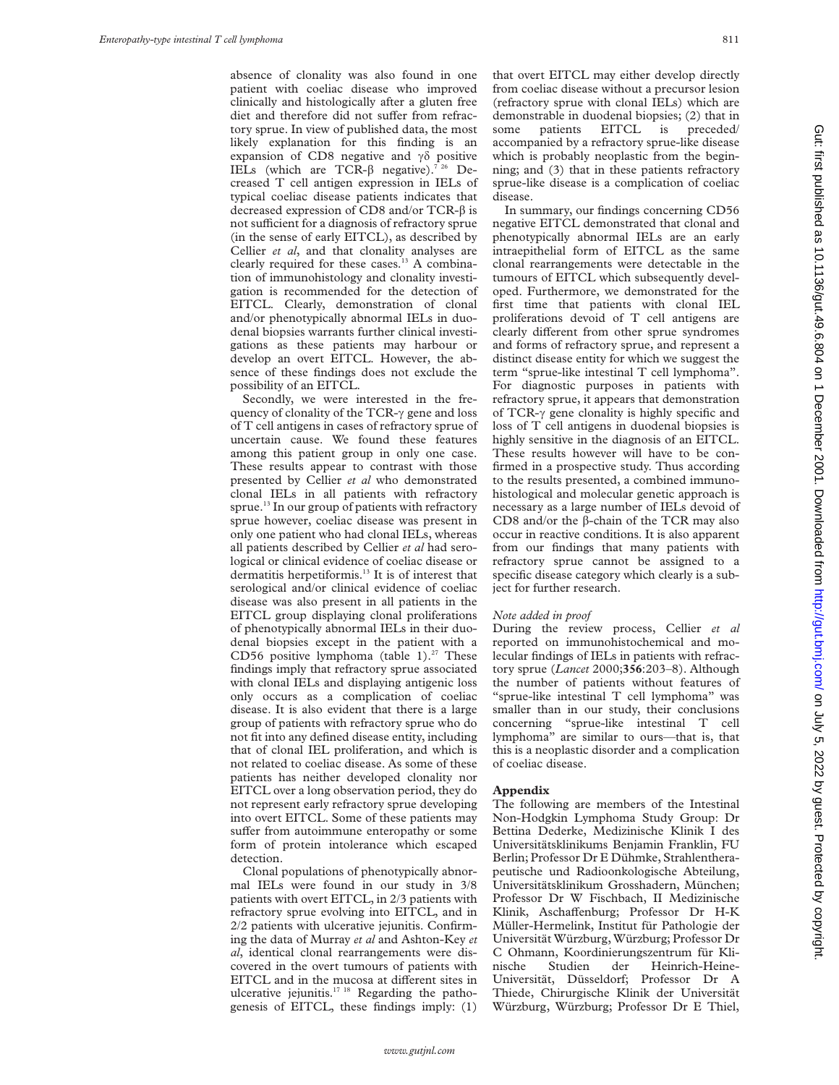absence of clonality was also found in one patient with coeliac disease who improved clinically and histologically after a gluten free diet and therefore did not suffer from refractory sprue. In view of published data, the most likely explanation for this finding is an expansion of CD8 negative and  $\gamma\delta$  positive IELs (which are TCR- $\beta$  negative).<sup>7 26</sup> Decreased T cell antigen expression in IELs of typical coeliac disease patients indicates that decreased expression of CD8 and/or TCR- $\beta$  is not sufficient for a diagnosis of refractory sprue (in the sense of early EITCL), as described by Cellier *et al*, and that clonality analyses are clearly required for these cases.<sup>13</sup> A combination of immunohistology and clonality investigation is recommended for the detection of EITCL. Clearly, demonstration of clonal and/or phenotypically abnormal IELs in duodenal biopsies warrants further clinical investigations as these patients may harbour or develop an overt EITCL. However, the absence of these findings does not exclude the possibility of an EITCL.

Secondly, we were interested in the frequency of clonality of the TCR- $\gamma$  gene and loss of T cell antigens in cases of refractory sprue of uncertain cause. We found these features among this patient group in only one case. These results appear to contrast with those presented by Cellier *et al* who demonstrated clonal IELs in all patients with refractory sprue.<sup>13</sup> In our group of patients with refractory sprue however, coeliac disease was present in only one patient who had clonal IELs, whereas all patients described by Cellier *et al* had serological or clinical evidence of coeliac disease or dermatitis herpetiformis.<sup>13</sup> It is of interest that serological and/or clinical evidence of coeliac disease was also present in all patients in the EITCL group displaying clonal proliferations of phenotypically abnormal IELs in their duodenal biopsies except in the patient with a CD56 positive lymphoma (table 1). $27$  These findings imply that refractory sprue associated with clonal IELs and displaying antigenic loss only occurs as a complication of coeliac disease. It is also evident that there is a large group of patients with refractory sprue who do not fit into any defined disease entity, including that of clonal IEL proliferation, and which is not related to coeliac disease. As some of these patients has neither developed clonality nor EITCL over a long observation period, they do not represent early refractory sprue developing into overt EITCL. Some of these patients may suffer from autoimmune enteropathy or some form of protein intolerance which escaped detection.

Clonal populations of phenotypically abnormal IELs were found in our study in 3/8 patients with overt EITCL, in 2/3 patients with refractory sprue evolving into EITCL, and in 2/2 patients with ulcerative jejunitis. Confirming the data of Murray *et al* and Ashton-Key *et al*, identical clonal rearrangements were discovered in the overt tumours of patients with EITCL and in the mucosa at different sites in ulcerative jejunitis.17 18 Regarding the pathogenesis of EITCL, these findings imply: (1) that overt EITCL may either develop directly from coeliac disease without a precursor lesion (refractory sprue with clonal IELs) which are demonstrable in duodenal biopsies; (2) that in some patients EITCL is preceded/ accompanied by a refractory sprue-like disease which is probably neoplastic from the beginning; and (3) that in these patients refractory sprue-like disease is a complication of coeliac disease.

In summary, our findings concerning CD56 negative EITCL demonstrated that clonal and phenotypically abnormal IELs are an early intraepithelial form of EITCL as the same clonal rearrangements were detectable in the tumours of EITCL which subsequently developed. Furthermore, we demonstrated for the first time that patients with clonal IEL proliferations devoid of T cell antigens are clearly different from other sprue syndromes and forms of refractory sprue, and represent a distinct disease entity for which we suggest the term "sprue-like intestinal T cell lymphoma". For diagnostic purposes in patients with refractory sprue, it appears that demonstration of TCR- $\gamma$  gene clonality is highly specific and loss of T cell antigens in duodenal biopsies is highly sensitive in the diagnosis of an EITCL. These results however will have to be confirmed in a prospective study. Thus according to the results presented, a combined immunohistological and molecular genetic approach is necessary as a large number of IELs devoid of CD8 and/or the  $\beta$ -chain of the TCR may also occur in reactive conditions. It is also apparent from our findings that many patients with refractory sprue cannot be assigned to a specific disease category which clearly is a subject for further research.

# *Note added in proof*

During the review process, Cellier *et al* reported on immunohistochemical and molecular findings of IELs in patients with refractory sprue (*Lancet* 2000;**356**:203–8). Although the number of patients without features of "sprue-like intestinal T cell lymphoma" was smaller than in our study, their conclusions concerning "sprue-like intestinal T cell lymphoma" are similar to ours—that is, that this is a neoplastic disorder and a complication of coeliac disease.

# **Appendix**

The following are members of the Intestinal Non-Hodgkin Lymphoma Study Group: Dr Bettina Dederke, Medizinische Klinik I des Universitätsklinikums Benjamin Franklin, FU Berlin; Professor Dr E Dühmke, Strahlentherapeutische und Radioonkologische Abteilung, Universitätsklinikum Grosshadern, München; Professor Dr W Fischbach, II Medizinische Klinik, Aschaffenburg; Professor Dr H-K Müller-Hermelink, Institut für Pathologie der Universität Würzburg, Würzburg; Professor Dr C Ohmann, Koordinierungszentrum für Klinische Studien der Heinrich-Heine-Universität, Düsseldorf; Professor Dr A Thiede, Chirurgische Klinik der Universität Würzburg, Würzburg; Professor Dr E Thiel,